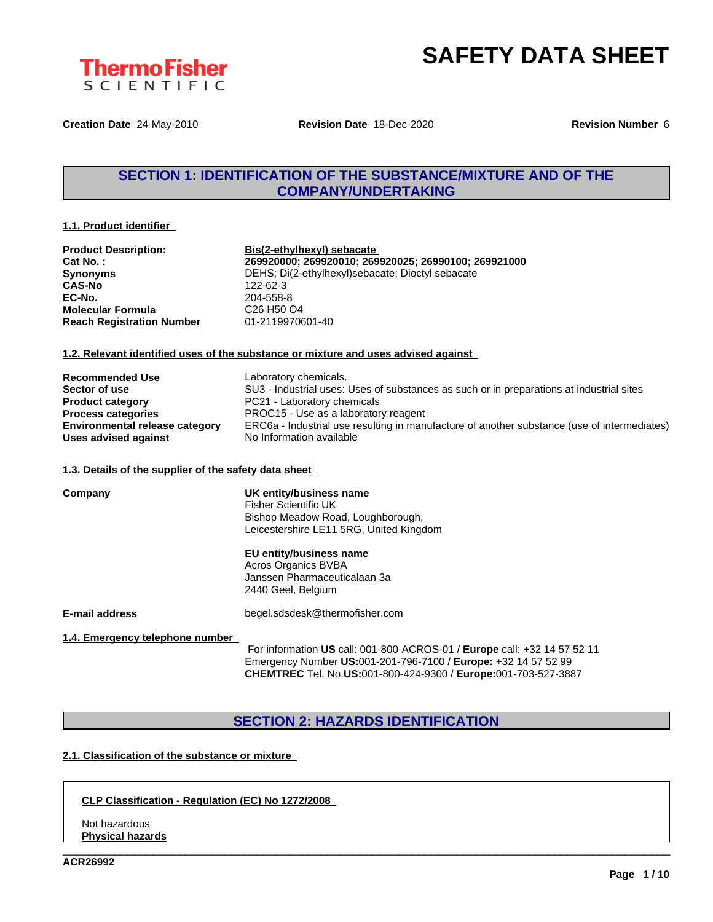

**Creation Date** 24-May-2010 **Revision Date** 18-Dec-2020 **Revision Number** 6

### **SECTION 1: IDENTIFICATION OF THE SUBSTANCE/MIXTURE AND OF THE COMPANY/UNDERTAKING**

#### **1.1. Product identifier**

| <b>Product Description:</b>      | Bis(2-ethylhexyl) sebacate                           |
|----------------------------------|------------------------------------------------------|
| Cat No. :                        | 269920000; 269920010; 269920025; 26990100; 269921000 |
| Synonyms                         | DEHS; Di(2-ethylhexyl)sebacate; Dioctyl sebacate     |
| CAS-No                           | 122-62-3                                             |
| EC-No.                           | 204-558-8                                            |
| Molecular Formula                | C <sub>26</sub> H <sub>50</sub> O <sub>4</sub>       |
| <b>Reach Registration Number</b> | 01-2119970601-40                                     |
|                                  |                                                      |

#### **1.2. Relevant identified uses of the substance or mixture and uses advised against**

| <b>Recommended Use</b>                | Laboratory chemicals.                                                                       |
|---------------------------------------|---------------------------------------------------------------------------------------------|
| Sector of use                         | SU3 - Industrial uses: Uses of substances as such or in preparations at industrial sites    |
| <b>Product category</b>               | PC21 - Laboratory chemicals                                                                 |
| <b>Process categories</b>             | PROC15 - Use as a laboratory reagent                                                        |
| <b>Environmental release category</b> | ERC6a - Industrial use resulting in manufacture of another substance (use of intermediates) |
| Uses advised against                  | No Information available                                                                    |

#### **1.3. Details of the supplier of the safety data sheet**

| Company                         | UK entity/business name<br>Fisher Scientific UK<br>Bishop Meadow Road, Loughborough,<br>Leicestershire LE11 5RG, United Kingdom |
|---------------------------------|---------------------------------------------------------------------------------------------------------------------------------|
|                                 | EU entity/business name<br>Acros Organics BVBA<br>Janssen Pharmaceuticalaan 3a<br>2440 Geel, Belgium                            |
| E-mail address                  | begel.sdsdesk@thermofisher.com                                                                                                  |
| 1.4. Emergency telephone number | For information US call: 001-800-ACROS-01 / Europe call: +32 14 57 52 11                                                        |

For information **US** call: 001-800-ACROS-01 / **Europe** call: +32 14 57 52 11 Emergency Number **US:**001-201-796-7100 / **Europe:** +32 14 57 52 99 **CHEMTREC** Tel. No.**US:**001-800-424-9300 / **Europe:**001-703-527-3887

\_\_\_\_\_\_\_\_\_\_\_\_\_\_\_\_\_\_\_\_\_\_\_\_\_\_\_\_\_\_\_\_\_\_\_\_\_\_\_\_\_\_\_\_\_\_\_\_\_\_\_\_\_\_\_\_\_\_\_\_\_\_\_\_\_\_\_\_\_\_\_\_\_\_\_\_\_\_\_\_\_\_\_\_\_\_\_\_\_\_\_\_\_\_

### **SECTION 2: HAZARDS IDENTIFICATION**

### **2.1. Classification of the substance or mixture**

#### **CLP Classification - Regulation (EC) No 1272/2008**

Not hazardous **Physical hazards**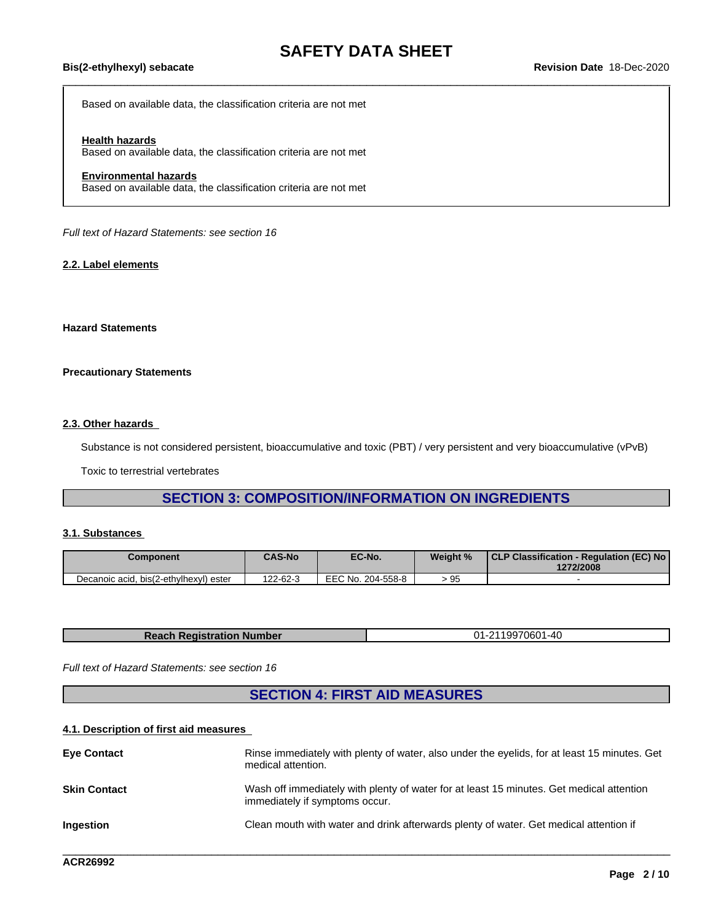Based on available data, the classification criteria are not met

#### **Health hazards**

Based on available data, the classification criteria are not met

#### **Environmental hazards**

Based on available data, the classification criteria are not met

*Full text of Hazard Statements: see section 16*

#### **2.2. Label elements**

#### **Hazard Statements**

#### **Precautionary Statements**

#### **2.3. Other hazards**

Substance is not considered persistent, bioaccumulative and toxic (PBT) / very persistent and very bioaccumulative (vPvB)

Toxic to terrestrial vertebrates

### **SECTION 3: COMPOSITION/INFORMATION ON INGREDIENTS**

#### **3.1. Substances**

| Component                              | <b>CAS-No</b> | EC-No.            | Weight % | CLP Classification - Regulation (EC) No<br>1272/2008 |
|----------------------------------------|---------------|-------------------|----------|------------------------------------------------------|
| Decanoic acid, bis(2-ethylhexyl) ester | 122-62-3      | EEC No. 204-558-8 | u⊬<br>ົບ |                                                      |

| <b>Reach Registration Number</b> | -2119970601-40<br>- 11 |
|----------------------------------|------------------------|
|----------------------------------|------------------------|

*Full text of Hazard Statements: see section 16*

### **SECTION 4: FIRST AID MEASURES**

#### **4.1. Description of first aid measures**

| <b>Eve Contact</b>  | Rinse immediately with plenty of water, also under the eyelids, for at least 15 minutes. Get<br>medical attention.         |
|---------------------|----------------------------------------------------------------------------------------------------------------------------|
| <b>Skin Contact</b> | Wash off immediately with plenty of water for at least 15 minutes. Get medical attention<br>immediately if symptoms occur. |
| <b>Ingestion</b>    | Clean mouth with water and drink afterwards plenty of water. Get medical attention if                                      |
|                     |                                                                                                                            |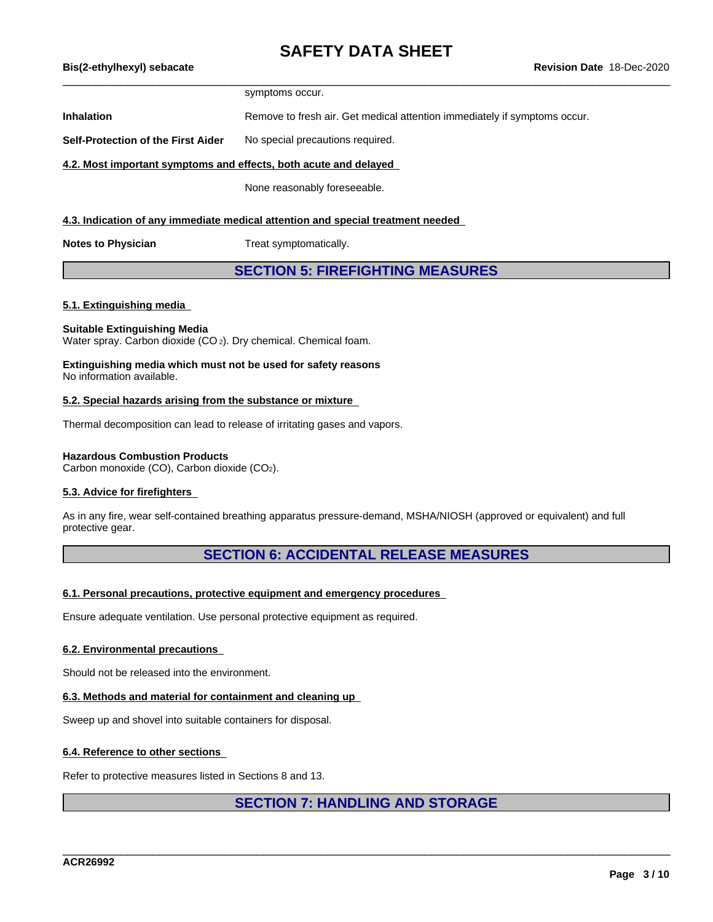symptoms occur.

**Inhalation** Remove to fresh air. Get medical attention immediately if symptoms occur.

**Self-Protection of the First Aider** No special precautions required.

#### **4.2. Most important symptoms and effects, both acute and delayed**

None reasonably foreseeable.

#### **4.3. Indication of any immediate medical attention and special treatment needed**

**Notes to Physician** Treat symptomatically.

### **SECTION 5: FIREFIGHTING MEASURES**

#### **5.1. Extinguishing media**

#### **Suitable Extinguishing Media**

Water spray. Carbon dioxide (CO<sub>2</sub>). Dry chemical. Chemical foam.

#### **Extinguishing media which must not be used for safety reasons** No information available.

#### **5.2. Special hazards arising from the substance or mixture**

Thermal decomposition can lead to release of irritating gases and vapors.

#### **Hazardous Combustion Products**

Carbon monoxide (CO), Carbon dioxide (CO2).

#### **5.3. Advice for firefighters**

As in any fire, wear self-contained breathing apparatus pressure-demand, MSHA/NIOSH (approved or equivalent) and full protective gear.

### **SECTION 6: ACCIDENTAL RELEASE MEASURES**

#### **6.1. Personal precautions, protective equipment and emergency procedures**

Ensure adequate ventilation. Use personal protective equipment as required.

#### **6.2. Environmental precautions**

Should not be released into the environment.

#### **6.3. Methods and material for containment and cleaning up**

Sweep up and shovel into suitable containers for disposal.

#### **6.4. Reference to other sections**

Refer to protective measures listed in Sections 8 and 13.

#### **SECTION 7: HANDLING AND STORAGE**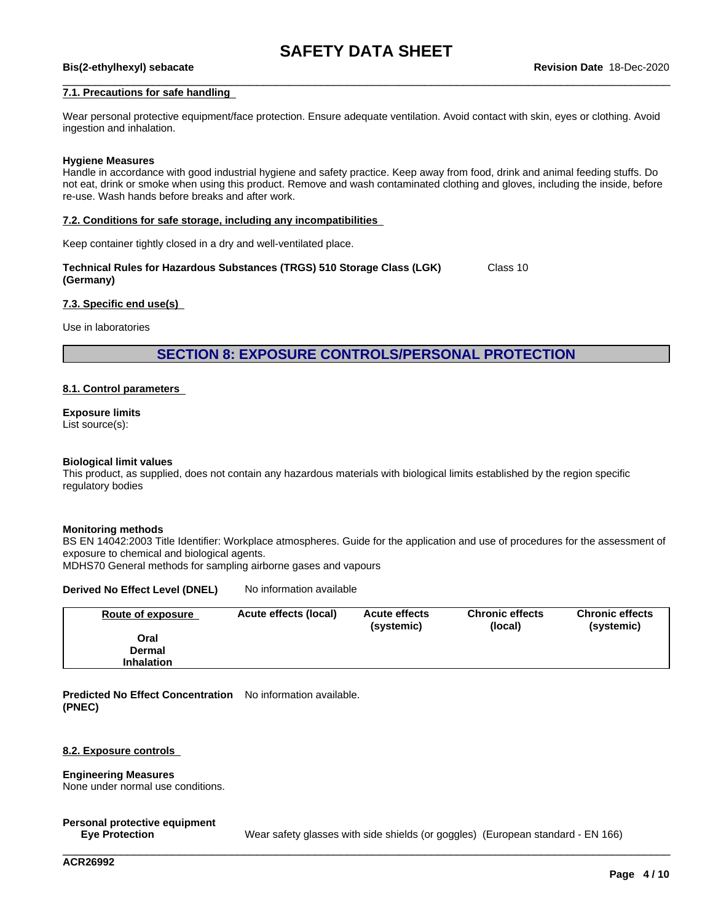## \_\_\_\_\_\_\_\_\_\_\_\_\_\_\_\_\_\_\_\_\_\_\_\_\_\_\_\_\_\_\_\_\_\_\_\_\_\_\_\_\_\_\_\_\_\_\_\_\_\_\_\_\_\_\_\_\_\_\_\_\_\_\_\_\_\_\_\_\_\_\_\_\_\_\_\_\_\_\_\_\_\_\_\_\_\_\_\_\_\_\_\_\_\_ **Bis(2-ethylhexyl) sebacate Revision Date** 18-Dec-2020

#### **7.1. Precautions for safe handling**

Wear personal protective equipment/face protection. Ensure adequate ventilation. Avoid contact with skin, eyes or clothing. Avoid ingestion and inhalation.

#### **Hygiene Measures**

Handle in accordance with good industrial hygiene and safety practice. Keep away from food, drink and animal feeding stuffs. Do not eat, drink or smoke when using this product. Remove and wash contaminated clothing and gloves, including the inside, before re-use. Wash hands before breaks and after work.

#### **7.2. Conditions for safe storage, including any incompatibilities**

Keep container tightly closed in a dry and well-ventilated place.

**Technical Rules for Hazardous Substances (TRGS) 510 Storage Class (LGK) (Germany)** Class 10

#### **7.3. Specific end use(s)**

Use in laboratories

#### **SECTION 8: EXPOSURE CONTROLS/PERSONAL PROTECTION**

#### **8.1. Control parameters**

**Exposure limits** List source(s):

#### **Biological limit values**

This product, as supplied, does not contain any hazardous materials with biological limits established by the region specific regulatory bodies

#### **Monitoring methods**

BS EN 14042:2003 Title Identifier: Workplace atmospheres. Guide for the application and use of procedures for the assessment of exposure to chemical and biological agents.

MDHS70 General methods for sampling airborne gases and vapours

#### **Derived No Effect Level (DNEL)** No information available

| Route of exposure | Acute effects (local) | <b>Acute effects</b><br>(systemic) | <b>Chronic effects</b><br>(local) | <b>Chronic effects</b><br>(systemic) |
|-------------------|-----------------------|------------------------------------|-----------------------------------|--------------------------------------|
| Oral              |                       |                                    |                                   |                                      |
| <b>Dermal</b>     |                       |                                    |                                   |                                      |
| <b>Inhalation</b> |                       |                                    |                                   |                                      |

**Predicted No Effect Concentration** No information available. **(PNEC)**

#### **8.2. Exposure controls**

#### **Engineering Measures**

None under normal use conditions.

### **Personal protective equipment**

**Eye Protection** Wear safety glasses with side shields (or goggles) (European standard - EN 166)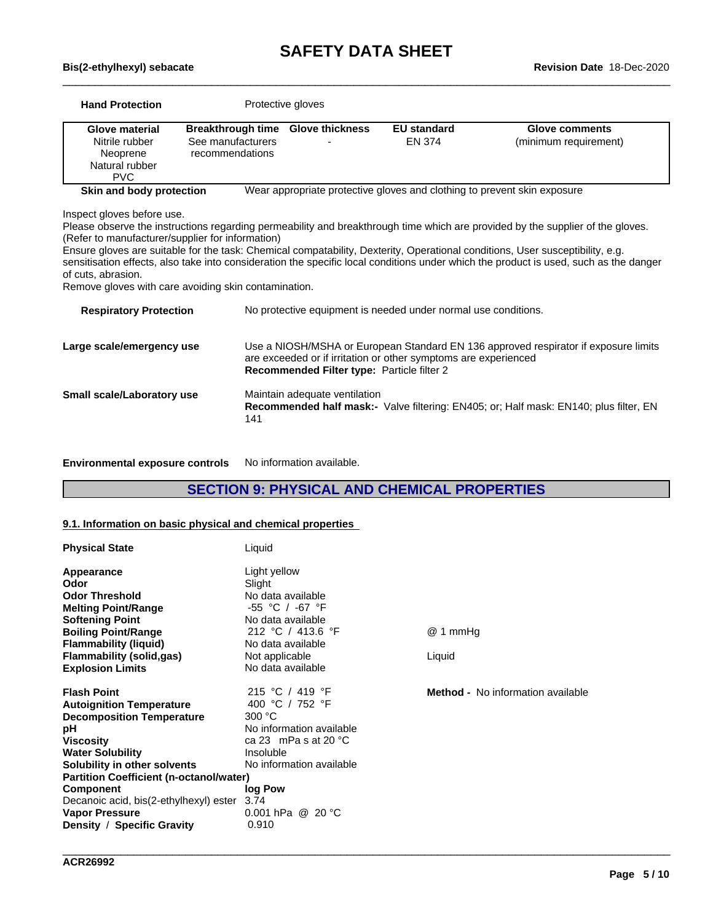| <b>Breakthrough time</b><br><b>Glove thickness</b><br><b>EU</b> standard<br><b>Glove material</b><br><b>Glove comments</b><br>See manufacturers<br>Nitrile rubber<br><b>EN 374</b><br>(minimum requirement)<br>Neoprene<br>recommendations<br>Natural rubber<br><b>PVC</b><br>Skin and body protection<br>Wear appropriate protective gloves and clothing to prevent skin exposure<br>Inspect gloves before use.<br>Please observe the instructions regarding permeability and breakthrough time which are provided by the supplier of the gloves.<br>(Refer to manufacturer/supplier for information)<br>Ensure gloves are suitable for the task: Chemical compatability, Dexterity, Operational conditions, User susceptibility, e.g.<br>Remove gloves with care avoiding skin contamination.<br>No protective equipment is needed under normal use conditions.<br><b>Respiratory Protection</b><br>Large scale/emergency use<br>are exceeded or if irritation or other symptoms are experienced<br>Recommended Filter type: Particle filter 2<br>Small scale/Laboratory use<br>Maintain adequate ventilation<br><b>Recommended half mask:-</b> Valve filtering: EN405; or; Half mask: EN140; plus filter, EN<br>141 | <b>Hand Protection</b> | Protective gloves |  |
|------------------------------------------------------------------------------------------------------------------------------------------------------------------------------------------------------------------------------------------------------------------------------------------------------------------------------------------------------------------------------------------------------------------------------------------------------------------------------------------------------------------------------------------------------------------------------------------------------------------------------------------------------------------------------------------------------------------------------------------------------------------------------------------------------------------------------------------------------------------------------------------------------------------------------------------------------------------------------------------------------------------------------------------------------------------------------------------------------------------------------------------------------------------------------------------------------------------------|------------------------|-------------------|--|
| sensitisation effects, also take into consideration the specific local conditions under which the product is used, such as the danger<br>Use a NIOSH/MSHA or European Standard EN 136 approved respirator if exposure limits                                                                                                                                                                                                                                                                                                                                                                                                                                                                                                                                                                                                                                                                                                                                                                                                                                                                                                                                                                                           |                        |                   |  |
|                                                                                                                                                                                                                                                                                                                                                                                                                                                                                                                                                                                                                                                                                                                                                                                                                                                                                                                                                                                                                                                                                                                                                                                                                        |                        |                   |  |
|                                                                                                                                                                                                                                                                                                                                                                                                                                                                                                                                                                                                                                                                                                                                                                                                                                                                                                                                                                                                                                                                                                                                                                                                                        | of cuts, abrasion.     |                   |  |
|                                                                                                                                                                                                                                                                                                                                                                                                                                                                                                                                                                                                                                                                                                                                                                                                                                                                                                                                                                                                                                                                                                                                                                                                                        |                        |                   |  |
|                                                                                                                                                                                                                                                                                                                                                                                                                                                                                                                                                                                                                                                                                                                                                                                                                                                                                                                                                                                                                                                                                                                                                                                                                        |                        |                   |  |
|                                                                                                                                                                                                                                                                                                                                                                                                                                                                                                                                                                                                                                                                                                                                                                                                                                                                                                                                                                                                                                                                                                                                                                                                                        |                        |                   |  |

**Environmental exposure controls** No information available.

### **SECTION 9: PHYSICAL AND CHEMICAL PROPERTIES**

\_\_\_\_\_\_\_\_\_\_\_\_\_\_\_\_\_\_\_\_\_\_\_\_\_\_\_\_\_\_\_\_\_\_\_\_\_\_\_\_\_\_\_\_\_\_\_\_\_\_\_\_\_\_\_\_\_\_\_\_\_\_\_\_\_\_\_\_\_\_\_\_\_\_\_\_\_\_\_\_\_\_\_\_\_\_\_\_\_\_\_\_\_\_

#### **9.1. Information on basic physical and chemical properties**

| <b>Physical State</b>                                                                                                                                                                                                                                                                                                                                 | Liquid                                                                                                                                                                                               |                                          |
|-------------------------------------------------------------------------------------------------------------------------------------------------------------------------------------------------------------------------------------------------------------------------------------------------------------------------------------------------------|------------------------------------------------------------------------------------------------------------------------------------------------------------------------------------------------------|------------------------------------------|
| Appearance<br>Odor<br><b>Odor Threshold</b><br><b>Melting Point/Range</b><br><b>Softening Point</b><br><b>Boiling Point/Range</b><br><b>Flammability (liquid)</b><br><b>Flammability (solid,gas)</b><br><b>Explosion Limits</b>                                                                                                                       | Light yellow<br>Slight<br>No data available<br>$-55$ °C / $-67$ °F<br>No data available<br>212 °C / 413.6 °F<br>No data available<br>Not applicable<br>No data available                             | @ 1 mmHg<br>Liquid                       |
| <b>Flash Point</b><br><b>Autoignition Temperature</b><br><b>Decomposition Temperature</b><br>рH<br><b>Viscosity</b><br><b>Water Solubility</b><br>Solubility in other solvents<br><b>Partition Coefficient (n-octanol/water)</b><br><b>Component</b><br>Decanoic acid, bis(2-ethylhexyl) ester<br><b>Vapor Pressure</b><br>Density / Specific Gravity | 215 °C / 419 °F<br>400 °C / 752 °F<br>300 °C<br>No information available<br>ca 23 mPa s at 20 $^{\circ}$ C<br>Insoluble<br>No information available<br>log Pow<br>3.74<br>0.001 hPa @ 20 °C<br>0.910 | <b>Method -</b> No information available |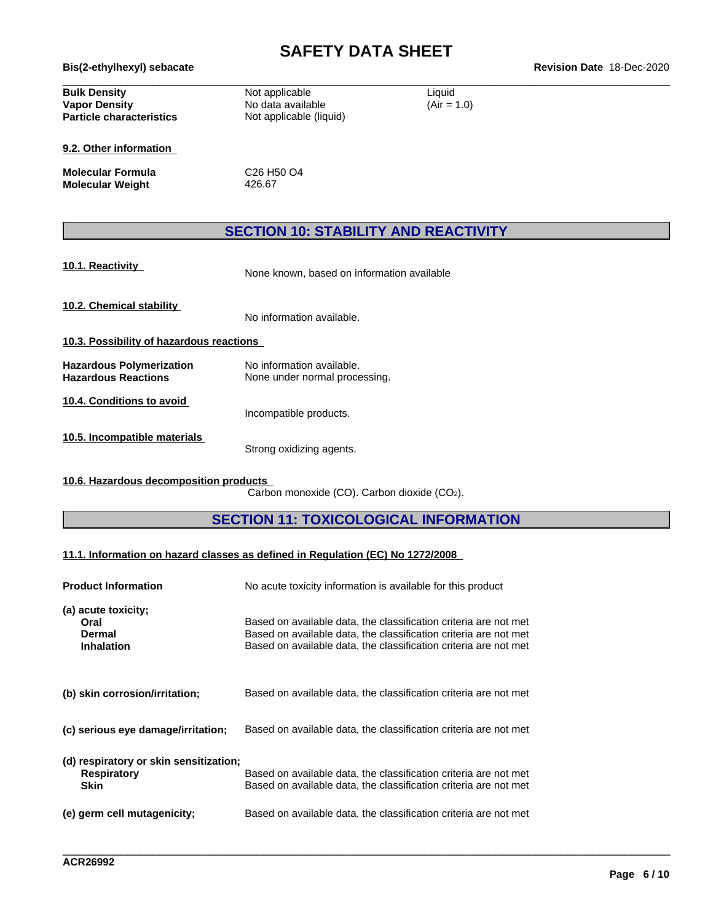# **SAFETY DATA SHEET**<br>Revision Date 18-Dec-2020

| Bis(2-ethylhexyl) sebacate                                                     |                                                                |                         | <b>Revision Date 18-Dec-2020</b> |
|--------------------------------------------------------------------------------|----------------------------------------------------------------|-------------------------|----------------------------------|
| <b>Bulk Density</b><br><b>Vapor Density</b><br><b>Particle characteristics</b> | Not applicable<br>No data available<br>Not applicable (liquid) | Liquid<br>$(Air = 1.0)$ |                                  |
| 9.2. Other information                                                         |                                                                |                         |                                  |
| <b>Molecular Formula</b><br><b>Molecular Weight</b>                            | C <sub>26</sub> H <sub>50</sub> O <sub>4</sub><br>426.67       |                         |                                  |
|                                                                                | <b>SECTION 10: STABILITY AND REACTIVITY</b>                    |                         |                                  |
| 10.1. Reactivity                                                               | None known, based on information available                     |                         |                                  |
| 10.2. Chemical stability                                                       | No information available.                                      |                         |                                  |
| 10.3. Possibility of hazardous reactions                                       |                                                                |                         |                                  |
| <b>Hazardous Polymerization</b><br><b>Hazardous Reactions</b>                  | No information available.<br>None under normal processing.     |                         |                                  |
| 10.4. Conditions to avoid                                                      | Incompatible products.                                         |                         |                                  |
| 10.5. Incompatible materials                                                   | Strong oxidizing agents.                                       |                         |                                  |

**10.6. Hazardous decomposition products**

Carbon monoxide (CO). Carbon dioxide (CO2).

### **SECTION 11: TOXICOLOGICAL INFORMATION**

\_\_\_\_\_\_\_\_\_\_\_\_\_\_\_\_\_\_\_\_\_\_\_\_\_\_\_\_\_\_\_\_\_\_\_\_\_\_\_\_\_\_\_\_\_\_\_\_\_\_\_\_\_\_\_\_\_\_\_\_\_\_\_\_\_\_\_\_\_\_\_\_\_\_\_\_\_\_\_\_\_\_\_\_\_\_\_\_\_\_\_\_\_\_

#### **11.1. Information on hazard classes as defined in Regulation (EC) No 1272/2008**

| <b>Product Information</b>                                                  | No acute toxicity information is available for this product                                                                                                                                              |
|-----------------------------------------------------------------------------|----------------------------------------------------------------------------------------------------------------------------------------------------------------------------------------------------------|
| (a) acute toxicity;<br>Oral<br>Dermal<br><b>Inhalation</b>                  | Based on available data, the classification criteria are not met<br>Based on available data, the classification criteria are not met<br>Based on available data, the classification criteria are not met |
| (b) skin corrosion/irritation;                                              | Based on available data, the classification criteria are not met                                                                                                                                         |
| (c) serious eye damage/irritation;                                          | Based on available data, the classification criteria are not met                                                                                                                                         |
| (d) respiratory or skin sensitization;<br><b>Respiratory</b><br><b>Skin</b> | Based on available data, the classification criteria are not met<br>Based on available data, the classification criteria are not met                                                                     |
| (e) germ cell mutagenicity;                                                 | Based on available data, the classification criteria are not met                                                                                                                                         |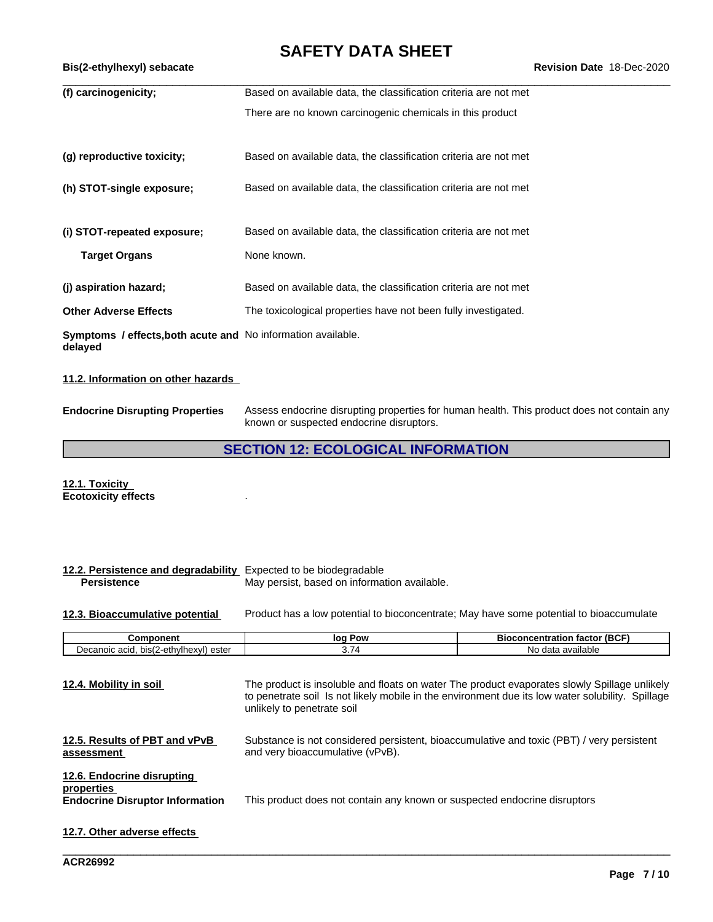| Bis(2-ethylhexyl) sebacate                                                     |                                                                  | <b>Revision Date 18-Dec-2020</b> |
|--------------------------------------------------------------------------------|------------------------------------------------------------------|----------------------------------|
| (f) carcinogenicity;                                                           | Based on available data, the classification criteria are not met |                                  |
|                                                                                | There are no known carcinogenic chemicals in this product        |                                  |
| (g) reproductive toxicity;                                                     | Based on available data, the classification criteria are not met |                                  |
| (h) STOT-single exposure;                                                      | Based on available data, the classification criteria are not met |                                  |
| (i) STOT-repeated exposure;                                                    | Based on available data, the classification criteria are not met |                                  |
| <b>Target Organs</b>                                                           | None known.                                                      |                                  |
| (j) aspiration hazard;                                                         | Based on available data, the classification criteria are not met |                                  |
| <b>Other Adverse Effects</b>                                                   | The toxicological properties have not been fully investigated.   |                                  |
| <b>Symptoms / effects, both acute and No information available.</b><br>delayed |                                                                  |                                  |

#### **11.2. Information on other hazards**

**Endocrine Disrupting Properties** Assess endocrine disrupting properties for human health. This product does not contain any known or suspected endocrine disruptors.

### **SECTION 12: ECOLOGICAL INFORMATION**

**12.1. Toxicity Ecotoxicity effects** .

| 12.2. Persistence and degradability<br><b>Persistence</b>                          | Expected to be biodegradable<br>May persist, based on information available. |                                                                                                                                                                                               |
|------------------------------------------------------------------------------------|------------------------------------------------------------------------------|-----------------------------------------------------------------------------------------------------------------------------------------------------------------------------------------------|
| 12.3. Bioaccumulative potential                                                    |                                                                              | Product has a low potential to bioconcentrate; May have some potential to bioaccumulate                                                                                                       |
| Component                                                                          | log Pow                                                                      | <b>Bioconcentration factor (BCF)</b>                                                                                                                                                          |
| Decanoic acid, bis(2-ethylhexyl) ester                                             | 3.74                                                                         | No data available                                                                                                                                                                             |
| 12.5. Results of PBT and vPvB<br>assessment                                        | unlikely to penetrate soil<br>and very bioaccumulative (vPvB).               | to penetrate soil Is not likely mobile in the environment due its low water solubility. Spillage<br>Substance is not considered persistent, bioaccumulative and toxic (PBT) / very persistent |
| 12.6. Endocrine disrupting<br>properties<br><b>Endocrine Disruptor Information</b> | This product does not contain any known or suspected endocrine disruptors    |                                                                                                                                                                                               |
| 12.7. Other adverse effects                                                        |                                                                              |                                                                                                                                                                                               |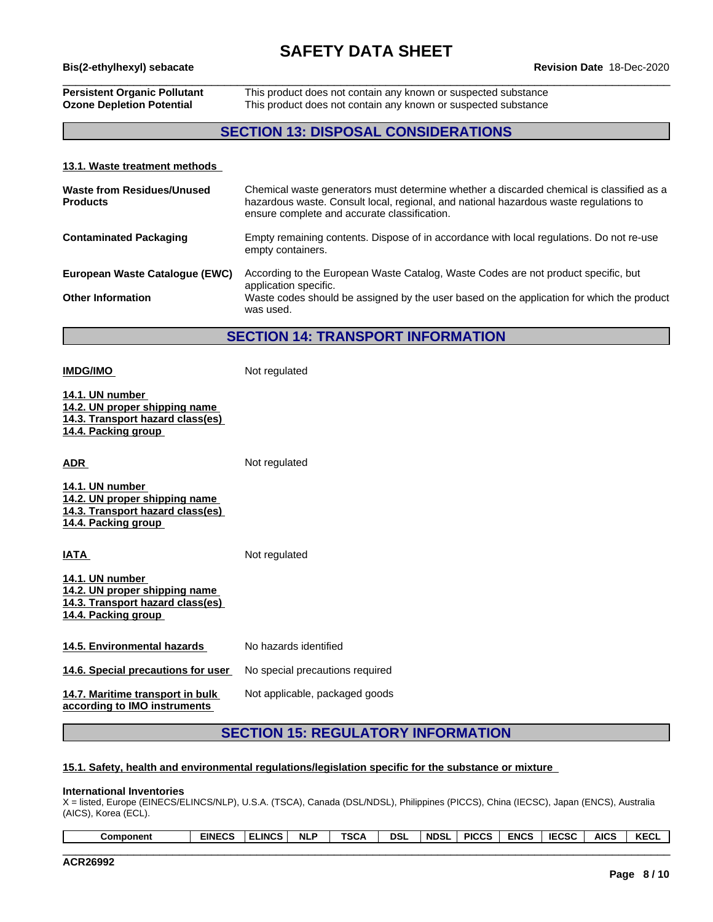## \_\_\_\_\_\_\_\_\_\_\_\_\_\_\_\_\_\_\_\_\_\_\_\_\_\_\_\_\_\_\_\_\_\_\_\_\_\_\_\_\_\_\_\_\_\_\_\_\_\_\_\_\_\_\_\_\_\_\_\_\_\_\_\_\_\_\_\_\_\_\_\_\_\_\_\_\_\_\_\_\_\_\_\_\_\_\_\_\_\_\_\_\_\_ **Bis(2-ethylhexyl) sebacate Revision Date** 18-Dec-2020

#### **Persistent Organic Pollutant** This product does not contain any known or suspected substance **Ozone Depletion Potential** This product does not contain any known or suspected substance

### **SECTION 13: DISPOSAL CONSIDERATIONS**

#### **13.1. Waste treatment methods**

| Waste from Residues/Unused<br><b>Products</b> | Chemical waste generators must determine whether a discarded chemical is classified as a<br>hazardous waste. Consult local, regional, and national hazardous waste regulations to<br>ensure complete and accurate classification. |
|-----------------------------------------------|-----------------------------------------------------------------------------------------------------------------------------------------------------------------------------------------------------------------------------------|
| <b>Contaminated Packaging</b>                 | Empty remaining contents. Dispose of in accordance with local regulations. Do not re-use<br>empty containers.                                                                                                                     |
| European Waste Catalogue (EWC)                | According to the European Waste Catalog, Waste Codes are not product specific, but<br>application specific.                                                                                                                       |
| <b>Other Information</b>                      | Waste codes should be assigned by the user based on the application for which the product<br>was used.                                                                                                                            |

#### **SECTION 14: TRANSPORT INFORMATION**

**14.1. UN number 14.2. UN proper shipping name 14.3. Transport hazard class(es) 14.4. Packing group ADR** Not regulated

**IMDG/IMO** Not regulated

**14.1. UN number 14.2. UN proper shipping name 14.3. Transport hazard class(es) 14.4. Packing group**

**IATA** Not regulated **14.1. UN number 14.2. UN proper shipping name 14.3. Transport hazard class(es) 14.4. Packing group**

**14.5. Environmental hazards** No hazards identified

**14.6. Special precautions for user** No special precautions required

**14.7. Maritime transport in bulk according to IMO instruments**

Not applicable, packaged goods

### **SECTION 15: REGULATORY INFORMATION**

#### **15.1. Safety, health and environmental regulations/legislation specific for the substance or mixture**

#### **International Inventories**

X = listed, Europe (EINECS/ELINCS/NLP), U.S.A. (TSCA), Canada (DSL/NDSL), Philippines (PICCS), China (IECSC), Japan (ENCS), Australia (AICS), Korea (ECL).

| KECL<br><b>AICS</b><br>5000<br><b>ENCS</b><br><b>PICCS</b><br><br>wal | 'NDSL | <b>DSL</b> | TCC.<br>יש | <b>NLP</b> | $\cdots$<br>∟INCS. | <b>EINECS</b><br>نس۔ | Component |
|-----------------------------------------------------------------------|-------|------------|------------|------------|--------------------|----------------------|-----------|
|-----------------------------------------------------------------------|-------|------------|------------|------------|--------------------|----------------------|-----------|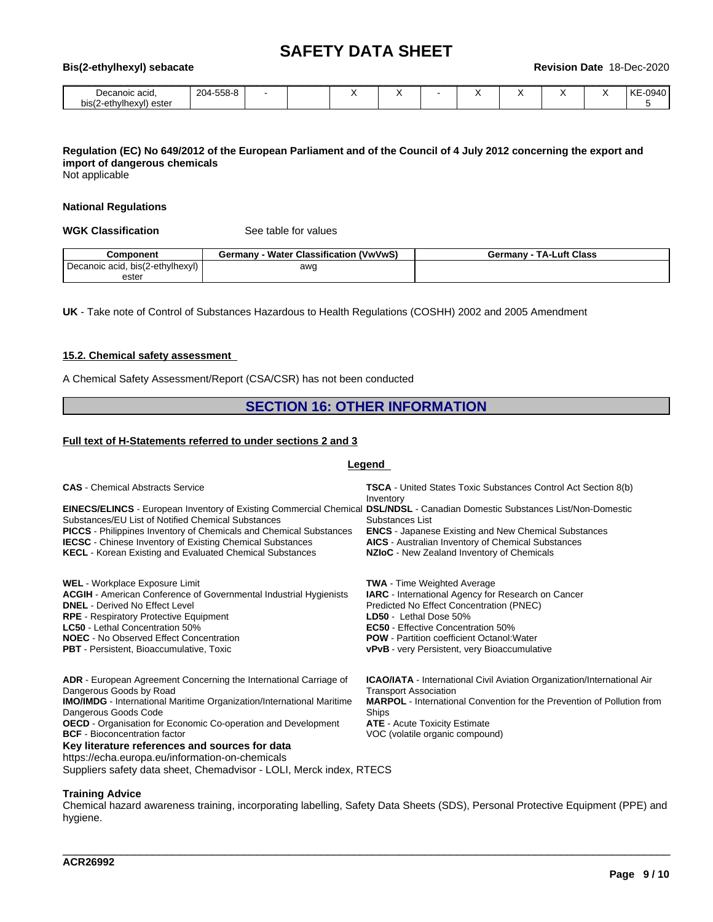| Bis(2-ethylhexyl) sebacate                |           |  |   |   |  | <b>Revision Date</b> | 18-Dec-2020 |
|-------------------------------------------|-----------|--|---|---|--|----------------------|-------------|
| Decanoic acid.<br>bis(2-ethylhexyl) ester | 204-558-8 |  | ↗ | ٠ |  |                      | KE-0940     |

### Regulation (EC) No 649/2012 of the European Parliament and of the Council of 4 July 2012 concerning the export and **import of dangerous chemicals**

Not applicable

#### **National Regulations**

**WGK Classification** See table for values

| Component                        | Water Classification (VwVwS)<br>Germany | <b>TA-Luft Class</b><br>Germany - |
|----------------------------------|-----------------------------------------|-----------------------------------|
| Decanoic acid, bis(2-ethylhexyl) | awg                                     |                                   |
| ester                            |                                         |                                   |

**UK** - Take note of Control of Substances Hazardous to Health Regulations (COSHH) 2002 and 2005 Amendment

#### **15.2. Chemical safety assessment**

A Chemical Safety Assessment/Report (CSA/CSR) has not been conducted

### **SECTION 16: OTHER INFORMATION**

#### **Full text of H-Statements referred to undersections 2 and 3**

#### **Legend**

| <b>CAS</b> - Chemical Abstracts Service                                                                                                                                                                                                                                                                                                                                                                                                                                                                 | <b>TSCA</b> - United States Toxic Substances Control Act Section 8(b)<br>Inventory                                                                                                                                                                                                                                             |
|---------------------------------------------------------------------------------------------------------------------------------------------------------------------------------------------------------------------------------------------------------------------------------------------------------------------------------------------------------------------------------------------------------------------------------------------------------------------------------------------------------|--------------------------------------------------------------------------------------------------------------------------------------------------------------------------------------------------------------------------------------------------------------------------------------------------------------------------------|
| <b>EINECS/ELINCS</b> - European Inventory of Existing Commercial Chemical DSL/NDSL - Canadian Domestic Substances List/Non-Domestic<br>Substances/EU List of Notified Chemical Substances<br><b>PICCS</b> - Philippines Inventory of Chemicals and Chemical Substances<br><b>IECSC</b> - Chinese Inventory of Existing Chemical Substances<br><b>KECL</b> - Korean Existing and Evaluated Chemical Substances                                                                                           | Substances List<br><b>ENCS</b> - Japanese Existing and New Chemical Substances<br>AICS - Australian Inventory of Chemical Substances<br>NZIoC - New Zealand Inventory of Chemicals                                                                                                                                             |
| <b>WEL</b> - Workplace Exposure Limit<br><b>ACGIH</b> - American Conference of Governmental Industrial Hygienists<br><b>DNEL</b> - Derived No Effect Level<br><b>RPE</b> - Respiratory Protective Equipment<br>LC50 - Lethal Concentration 50%<br><b>NOEC</b> - No Observed Effect Concentration<br><b>PBT</b> - Persistent, Bioaccumulative, Toxic                                                                                                                                                     | <b>TWA</b> - Time Weighted Average<br><b>IARC</b> - International Agency for Research on Cancer<br>Predicted No Effect Concentration (PNEC)<br>LD50 - Lethal Dose 50%<br><b>EC50</b> - Effective Concentration 50%<br><b>POW</b> - Partition coefficient Octanol: Water<br><b>vPvB</b> - very Persistent, very Bioaccumulative |
| <b>ADR</b> - European Agreement Concerning the International Carriage of<br>Dangerous Goods by Road<br><b>IMO/IMDG</b> - International Maritime Organization/International Maritime<br>Dangerous Goods Code<br><b>OECD</b> - Organisation for Economic Co-operation and Development<br><b>BCF</b> - Bioconcentration factor<br>Key literature references and sources for data<br>https://echa.europa.eu/information-on-chemicals<br>Suppliers safety data sheet, Chemadvisor - LOLI, Merck index, RTECS | <b>ICAO/IATA</b> - International Civil Aviation Organization/International Air<br><b>Transport Association</b><br><b>MARPOL</b> - International Convention for the Prevention of Pollution from<br>Ships<br><b>ATE</b> - Acute Toxicity Estimate<br>VOC (volatile organic compound)                                            |

#### **Training Advice**

Chemical hazard awareness training, incorporating labelling, Safety Data Sheets (SDS), Personal Protective Equipment (PPE) and hygiene.